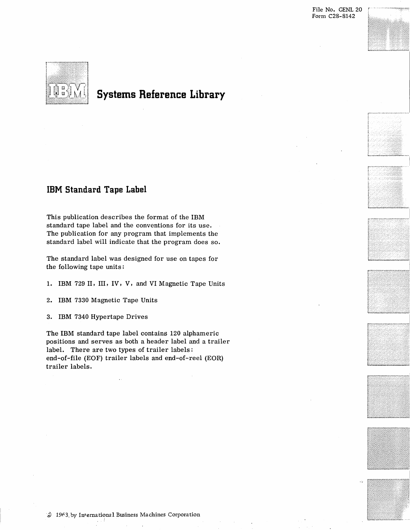



# **Systems Reference Library**

# **IBM Standard Tape Label**

This publication describes the format of the IBM standard tape label and the conventions for its use. The publication for any program that implements the standard label will indicate that the program does so.

The standard label was designed for use on tapes for the following tape units:

1. IBM 729 II, III, IV, V, and VI Magnetic Tape Units

2. IBM 7330 Magnetic Tape Units

3. IBM 7340 Hypertape Drives

The IBM standard tape label contains 120 alphameric positions and serves as both a header label and a trailer label. There are two types of trailer labels: end-of-file (EOF) trailer labels and end-of-reel (EOR) trailer labels.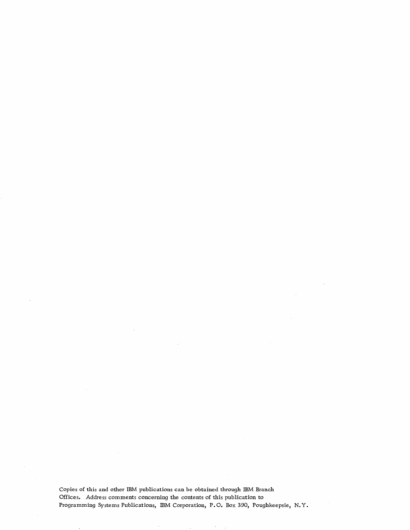Copies of this and other IBM publications can be obtained through IBM Branch Offices. Address comments concerning the contents of this publication to Programming Systems Publications, IBM Corporation, P.O. Box 390, Poughkeepsie, N.Y.

 $\sim$ 

 $\mathcal{A}$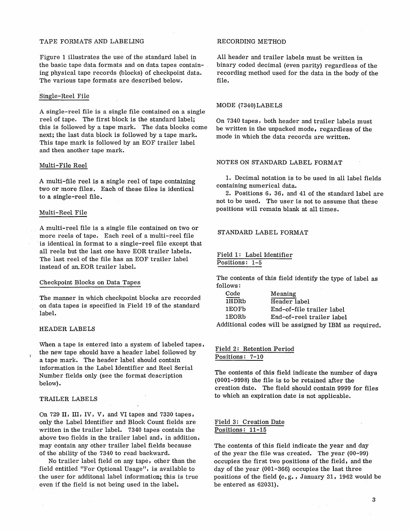#### TAPE FORMATS AND LABELING

Figure 1 illustrates the use of the standard label in the basic tape data formats and on data tapes containing physical tape records (blocks) of checkpoint data. The various tape formats are described below.

#### Single-Reel File

A single-reel file is a single file contained on a single reel of tape. The first block is the standard label; this is followed by a tape mark. The data blocks come next; the last data block is followed by a tape mark. This tape mark is followed by an EOF trailer label and then another tape mark.

#### Multi-File Reel

A multi-file reel is a single reel of tape containing two or more files. Each of these files is identical to a single-reel file.

#### Multi-Reel File

A multi-reel file is a single file contained on two or more reels of tape. Each reel of a multi-reel file is identical in format to a single-reel file except that all reels but the last one have EOR trailer labels. The last reel of the file has an EOF trailer label instead of an EOR trailer label.

#### Checkpoint Blocks on Data Tapes

The manner in which checkpoint blocks are recorded on data tapes is specified in Field 19 of the standard label.

#### **HEADER LABELS**

When a tape is entered into a system of labeled tapes, the new tape should have a header label followed by a tape mark. The header label should contain information in the Label Identifier and Reel Serial Number fields only (see the format description below).

#### TRAILER LABELS

On 729 II, **III,** IV, V, and VI tapes and 7330 tapes, only the Label Identifier and Block Count fields are written in the trailer label. 7340 tapes contain the above two fields in the trailer label and, in addition, may contain any other trailer label fields because of the ability of the 7340 to read backward.

No trailer label field on any tape, other than the field entitled "For Optional Usage", is available to the user for additonal label information; this is true even if the field is not being used in the label.

# RECORDING METHOD

All header and trailer labels must be written in binary coded decimal (even parity) regardless of the recording method used for the data in the body of the file.

#### MODE (7340)LABELS

On 7340 tapes, both header and trailer labels must be written in the unpacked mode, regardless of the mode in which the data records are written.

#### NOTES ON STANDARD LABEL FORMAT

1. Decimal notation is to be used in all label fields containing numerical data.

2. Positions 6, 36, and 41 of the standard label are not to be used. The user is not to assume that these positions will remain blank at all times.

# STANDARD LABEL FORMAT

Field 1: Label Identifier Positions: 1-5

The contents of this field identify the type of label as follows:

| Code              | Meaning                                               |
|-------------------|-------------------------------------------------------|
| 1HDRb             | Header label                                          |
| 1EOF <sub>b</sub> | End-of-file trailer label                             |
| 1EORb             | End-of-reel trailer label                             |
|                   | Additional codes will be assigned by IBM as required. |

## Field 2: Retention Period Positions: 7-10

The contents of this field indicate the number of days (0001-9998) the file is to be retained after the creation date. The field should contain 9999 for files to which an expiration date is not applicable.

#### Field 3: Creation Date Positions: 11-15

The contents of this field indicate the year and day of the year the file was created. The year (00-99) occupies the first two positions of the field, and the day of the year (001-366) occupies the last three positions of the field (e. g. , January 31, 1962 would be be entered as 62031).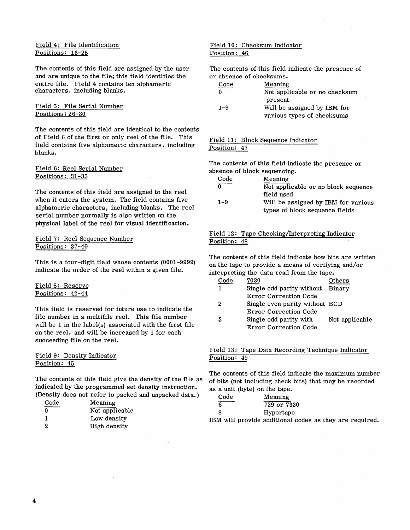## Field 4: File Identification Positions: 16-25

The contents of this field are assigned by the user and are unique to the file; this field identifies the entire file. Field 4 contains ten alphameric characters, including blanks.

#### Field 5: File Serial Number Positions: 26-30

The contents of this field are identical to the contents of Field 6 of the first or only reel of the file. This field contains five alphameric characters, including blanks.

#### Field 6: Reel Serial Number Positions: 31-35

The contents of this field are assigned to the reel when it enters the system. The field contains five alphameric characters, including blanks. The reel serial number normally is also written on the physical label of the reel for visual identification.

## Field 7: Reel Sequence Number Positions: 37-40

This is a four-digit field whose contents (0001-9999) indicate the order of the reel within a given file.

#### Field 8: Reserve Positions: 42-44

This field is reserved for future use to indicate the file number in a multifile reel. This file number will be 1 in the label(s) associated with the first file on the reel, and will be increased by 1 for each succeeding file on the reel.

#### Field 9: Density Indicator Position: 45

The contents of this field give the density of the file as indicated by the programmed set density instruction. (Density does not refer to packed and unpacked data. )

| Code | Meaning        |
|------|----------------|
| 0    | Not applicable |
| 1    | Low density    |
| 2    | High density   |

# Field 10: Checksum Indicator Position: 46

The contents of this field indicate the presence of or absence of checksums.

| Code    | Meaning                       |
|---------|-------------------------------|
| 0       | Not applicable or no checksum |
|         | present                       |
| $1 - 9$ | Will be assigned by IBM for   |
|         | various types of checksums    |

# Field 11: Block Sequence Indicator Position: 47

The contents of this field indicate the presence or absence of block sequencing.

| Code    | Meaning                             |
|---------|-------------------------------------|
|         | Not applicable or no block sequence |
|         | field used                          |
| $1 - 9$ | Will be assigned by IBM for various |
|         | types of block sequence fields      |

# Field 12: Tape Checking/Interpreting Indicator Position: 48

The contents of this field indicate how bits are written on the tape to provide a means of verifying and/or interpreting the data read from the tape.

| Code | 7030                             | Others         |
|------|----------------------------------|----------------|
|      | Single odd parity without Binary |                |
|      | Error Correction Code            |                |
| 2    | Single even parity without BCD   |                |
|      | Error Correction Code            |                |
| 3    | Single odd parity with           | Not applicable |
|      | Error Correction Code            |                |
|      |                                  |                |

#### Field 13: Tape Data Recording Technique Indicator Position: 49

The contents of this field indicate the maximum number of bits (not including check bits) that may be recorded as a unit (byte) on the tape.

| Code | Meaning     |  |
|------|-------------|--|
| 6    | 729 or 7330 |  |
| 8    | Hypertape   |  |
| . .  | .           |  |

IBM will provide additional codes as they are required.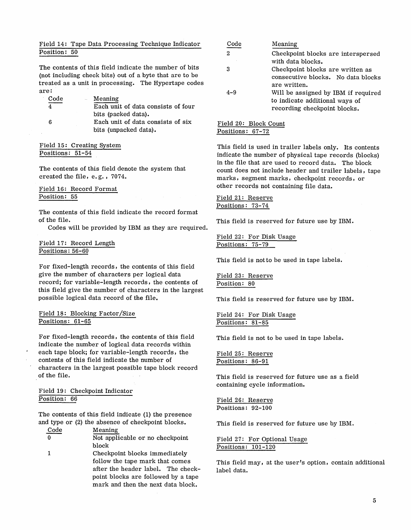# Field 14: Tape Data Processing Technique Indicator Position: 50

The contents of this field indicate the number of bits (not including check bits) out of a byte that are to be treated as a unit in processing. The Hypertape codes are:

| Code | Meaning                            |
|------|------------------------------------|
|      | Each unit of data consists of four |
|      | bits (packed data).                |
| 6    | Each unit of data consists of six  |
|      | bits (unpacked data).              |

Field 15: Creating System Positions: 51-54

The contents of this field denote the system that created the file, e. g., 7074.

Field 16: Record Format Position: 55

The contents of this field indicate the record format of the file. This field is reserved for future use by IBM.

Codes will be provided by IBM as they are required.

# Field 17: Record Length Positions: 56-60

For fixed-length records, the contents of this field give the number of characters per logical data record; for variable-length records, the contents of this field give the number of characters in the largest possible logical data record of the file.

# Field 18: Blocking Factor/Size Positions: 61-65

For fixed-length records, the contents of this field indicate the number of logical data records within each tape block; for variable-length records, the contents of this field indicate the number of characters in the largest possible tape block record of the file.

# Field 19: Checkpoint Indicator Position: 66

The contents of this field indicate (1) the presence and type or (2) the absence of checkpoint blocks.

| Code | Meaning                         |
|------|---------------------------------|
|      | Not applicable or no checkpoint |
|      | block                           |
|      | .                               |

1 Checkpoint blocks immediately follow the tape mark that comes after the header label. The checkpoint blocks are followed by a tape mark and then the next data block.

| Code    | Meaning                             |
|---------|-------------------------------------|
| 2       | Checkpoint blocks are interspersed  |
|         | with data blocks.                   |
| 3       | Checkpoint blocks are written as    |
|         | consecutive blocks. No data blocks  |
|         | are written.                        |
| $4 - 9$ | Will be assigned by IBM if required |
|         | to indicate additional ways of      |
|         | recording checkpoint blocks.        |

Field 20: Block Count Positions: 67-72

This field is used in trailer labels only. Its contents indicate the number of physical tape records (blocks) in the file that are used to record data. The block count does not include header and trailer labels, tape marks, segment marks, checkpoint records, or other records not containing file data.

Field 21: Reserve Positions: 73-74

#### Field 22: For Disk Usage Positions: 75-79

This field is not to be used in tape labels.

Field 23: Reserve Position: 80

This field is reserved for future use by IBM.

Field 24: For Disk Usage Positions: 81-85

This field is not to be used in tape labels.

Field 25: Reserve Positions: 86-91

This field is reserved for future use as a field containing cycle information.

Field 26: Reserve Positions: 92-100

This field is reserved for future use by IBM.

Field 27: For Optional Usage Positions: 101-120

This field may, at the user's option, contain additional label data.